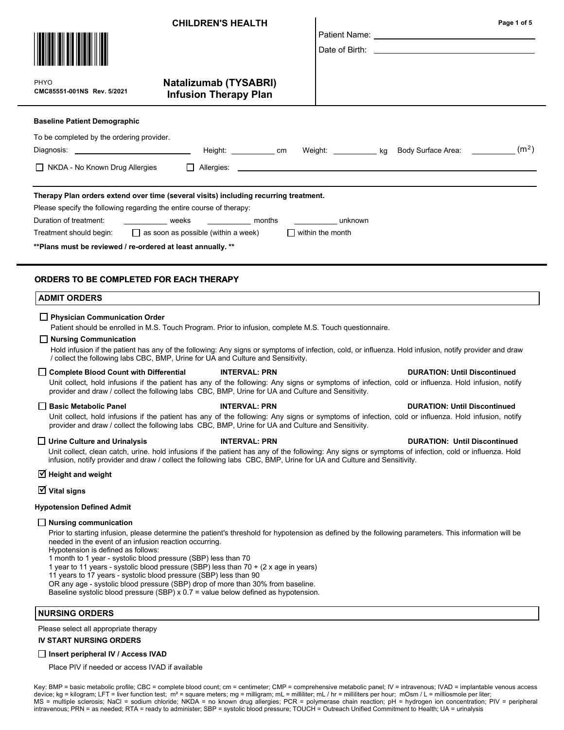|                                                                                                                                                                                                                                                                                                                                                                                                                                                                                                                                                                                                                                                                                                 | <b>CHILDREN'S HEALTH</b>                                     |  | Page 1 of 5<br>Patient Name: University of the Contract of the Contract of the Contract of the Contract of the Contract of the Contract of the Contract of the Contract of the Contract of the Contract of the Contract of the Contract of th |  |  |  |
|-------------------------------------------------------------------------------------------------------------------------------------------------------------------------------------------------------------------------------------------------------------------------------------------------------------------------------------------------------------------------------------------------------------------------------------------------------------------------------------------------------------------------------------------------------------------------------------------------------------------------------------------------------------------------------------------------|--------------------------------------------------------------|--|-----------------------------------------------------------------------------------------------------------------------------------------------------------------------------------------------------------------------------------------------|--|--|--|
| <b>PHYO</b><br>CMC85551-001NS Rev. 5/2021                                                                                                                                                                                                                                                                                                                                                                                                                                                                                                                                                                                                                                                       | <b>Natalizumab (TYSABRI)</b><br><b>Infusion Therapy Plan</b> |  |                                                                                                                                                                                                                                               |  |  |  |
| <b>Baseline Patient Demographic</b><br>To be completed by the ordering provider.<br>Body Surface Area: $\frac{1}{2}$ (m <sup>2</sup> )<br>□ NKDA - No Known Drug Allergies                                                                                                                                                                                                                                                                                                                                                                                                                                                                                                                      |                                                              |  |                                                                                                                                                                                                                                               |  |  |  |
| Therapy Plan orders extend over time (several visits) including recurring treatment.<br>Please specify the following regarding the entire course of therapy:<br>_____________ weeks ____________ months<br>Duration of treatment:<br><b>Example 12</b> unknown<br>$\Box$ as soon as possible (within a week)<br>$\blacksquare$ within the month<br>Treatment should begin:<br>** Plans must be reviewed / re-ordered at least annually. **                                                                                                                                                                                                                                                      |                                                              |  |                                                                                                                                                                                                                                               |  |  |  |
| <b>ORDERS TO BE COMPLETED FOR EACH THERAPY</b><br><b>ADMIT ORDERS</b>                                                                                                                                                                                                                                                                                                                                                                                                                                                                                                                                                                                                                           |                                                              |  |                                                                                                                                                                                                                                               |  |  |  |
| □ Physician Communication Order<br>Patient should be enrolled in M.S. Touch Program. Prior to infusion, complete M.S. Touch questionnaire.<br>$\Box$ Nursing Communication<br>Hold infusion if the patient has any of the following: Any signs or symptoms of infection, cold, or influenza. Hold infusion, notify provider and draw<br>/ collect the following labs CBC, BMP, Urine for UA and Culture and Sensitivity.                                                                                                                                                                                                                                                                        |                                                              |  |                                                                                                                                                                                                                                               |  |  |  |
| Complete Blood Count with Differential<br>Unit collect, hold infusions if the patient has any of the following: Any signs or symptoms of infection, cold or influenza. Hold infusion, notify<br>provider and draw / collect the following labs CBC, BMP, Urine for UA and Culture and Sensitivity.                                                                                                                                                                                                                                                                                                                                                                                              | <b>INTERVAL: PRN</b>                                         |  | <b>DURATION: Until Discontinued</b>                                                                                                                                                                                                           |  |  |  |
| <b>Basic Metabolic Panel</b><br>Unit collect, hold infusions if the patient has any of the following: Any signs or symptoms of infection, cold or influenza. Hold infusion, notify<br>provider and draw / collect the following labs CBC, BMP, Urine for UA and Culture and Sensitivity.                                                                                                                                                                                                                                                                                                                                                                                                        | <b>INTERVAL: PRN</b>                                         |  | <b>DURATION: Until Discontinued</b>                                                                                                                                                                                                           |  |  |  |
| <b>Urine Culture and Urinalysis</b><br>Unit collect, clean catch, urine. hold infusions if the patient has any of the following: Any signs or symptoms of infection, cold or influenza. Hold<br>infusion, notify provider and draw / collect the following labs CBC, BMP, Urine for UA and Culture and Sensitivity.                                                                                                                                                                                                                                                                                                                                                                             | <b>INTERVAL: PRN</b>                                         |  | <b>DURATION: Until Discontinued</b>                                                                                                                                                                                                           |  |  |  |
| $\triangledown$ Height and weight                                                                                                                                                                                                                                                                                                                                                                                                                                                                                                                                                                                                                                                               |                                                              |  |                                                                                                                                                                                                                                               |  |  |  |
| $\overline{\mathsf{M}}$ Vital signs                                                                                                                                                                                                                                                                                                                                                                                                                                                                                                                                                                                                                                                             |                                                              |  |                                                                                                                                                                                                                                               |  |  |  |
| <b>Hypotension Defined Admit</b>                                                                                                                                                                                                                                                                                                                                                                                                                                                                                                                                                                                                                                                                |                                                              |  |                                                                                                                                                                                                                                               |  |  |  |
| $\Box$ Nursing communication<br>Prior to starting infusion, please determine the patient's threshold for hypotension as defined by the following parameters. This information will be<br>needed in the event of an infusion reaction occurring.<br>Hypotension is defined as follows:<br>1 month to 1 year - systolic blood pressure (SBP) less than 70<br>1 year to 11 years - systolic blood pressure (SBP) less than 70 + (2 x age in years)<br>11 years to 17 years - systolic blood pressure (SBP) less than 90<br>OR any age - systolic blood pressure (SBP) drop of more than 30% from baseline.<br>Baseline systolic blood pressure (SBP) $x$ 0.7 = value below defined as hypotension. |                                                              |  |                                                                                                                                                                                                                                               |  |  |  |
| <b>NURSING ORDERS</b>                                                                                                                                                                                                                                                                                                                                                                                                                                                                                                                                                                                                                                                                           |                                                              |  |                                                                                                                                                                                                                                               |  |  |  |
| Please select all appropriate therapy                                                                                                                                                                                                                                                                                                                                                                                                                                                                                                                                                                                                                                                           |                                                              |  |                                                                                                                                                                                                                                               |  |  |  |
| <b>IV START NURSING ORDERS</b>                                                                                                                                                                                                                                                                                                                                                                                                                                                                                                                                                                                                                                                                  |                                                              |  |                                                                                                                                                                                                                                               |  |  |  |
| □ Insert peripheral IV / Access IVAD                                                                                                                                                                                                                                                                                                                                                                                                                                                                                                                                                                                                                                                            |                                                              |  |                                                                                                                                                                                                                                               |  |  |  |
| Place PIV if needed or access IVAD if available                                                                                                                                                                                                                                                                                                                                                                                                                                                                                                                                                                                                                                                 |                                                              |  |                                                                                                                                                                                                                                               |  |  |  |

Key: BMP = basic metabolic profile; CBC = complete blood count; cm = centimeter; CMP = comprehensive metabolic panel; IV = intravenous; IVAD = implantable venous access device; kg = kilogram; LFT = liver function test; m² = square meters; mg = milligram; mL = milliliter; mL / hr = milliliters per hour; mOsm / L = milliosmole per liter; MS = multiple sclerosis; NaCl = sodium chloride; NKDA = no known drug allergies; PCR = polymerase chain reaction; pH = hydrogen ion concentration; PIV = peripheral intravenous; PRN = as needed; RTA = ready to administer; SBP = systolic blood pressure; TOUCH = Outreach Unified Commitment to Health; UA = urinalysis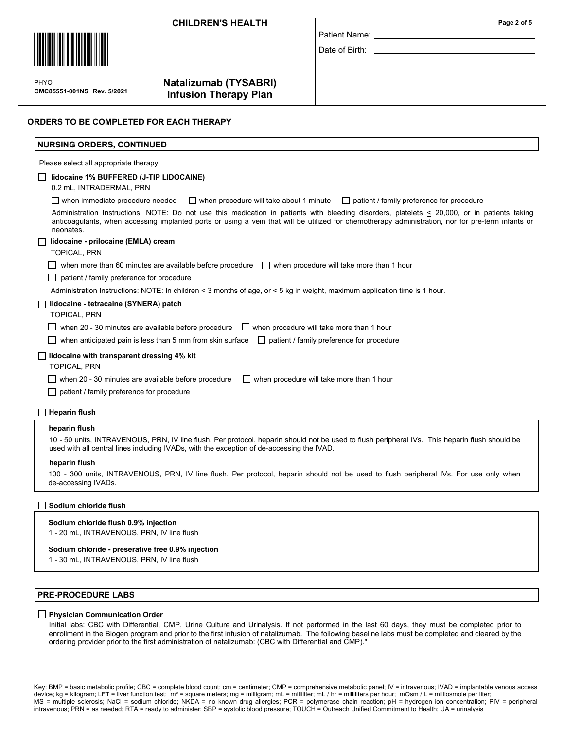### CHILDREN'S HEALTH



 $\mathbf{P}$ CMC85551-001NS Rev. 5/2021 PHYO

# Natalizumab (TYSABRI) Infusion Therapy Plan

| Patient Name: |  |
|---------------|--|

Date of Birth:

## ORDERS TO BE COMPLETED FOR EACH THERAPY

| <b>NURSING ORDERS, CONTINUED</b>                                                                                                                                                                                                                                                                               |
|----------------------------------------------------------------------------------------------------------------------------------------------------------------------------------------------------------------------------------------------------------------------------------------------------------------|
| Please select all appropriate therapy                                                                                                                                                                                                                                                                          |
| lidocaine 1% BUFFERED (J-TIP LIDOCAINE)<br>0.2 mL, INTRADERMAL, PRN                                                                                                                                                                                                                                            |
| $\Box$ when immediate procedure needed<br>patient / family preference for procedure<br>$\Box$ when procedure will take about 1 minute                                                                                                                                                                          |
| Administration Instructions: NOTE: Do not use this medication in patients with bleeding disorders, platelets < 20,000, or in patients taking<br>anticoagulants, when accessing implanted ports or using a vein that will be utilized for chemotherapy administration, nor for pre-term infants or<br>neonates. |
| lidocaine - prilocaine (EMLA) cream                                                                                                                                                                                                                                                                            |
| <b>TOPICAL, PRN</b>                                                                                                                                                                                                                                                                                            |
| when more than 60 minutes are available before procedure $\Box$ when procedure will take more than 1 hour                                                                                                                                                                                                      |
| patient / family preference for procedure<br>$\mathbf{1}$                                                                                                                                                                                                                                                      |
| Administration Instructions: NOTE: In children < 3 months of age, or < 5 kg in weight, maximum application time is 1 hour.                                                                                                                                                                                     |
| lidocaine - tetracaine (SYNERA) patch                                                                                                                                                                                                                                                                          |
| <b>TOPICAL, PRN</b>                                                                                                                                                                                                                                                                                            |
| when 20 - 30 minutes are available before procedure $\Box$ when procedure will take more than 1 hour                                                                                                                                                                                                           |
| when anticipated pain is less than 5 mm from skin surface $\Box$ patient / family preference for procedure                                                                                                                                                                                                     |
| lidocaine with transparent dressing 4% kit<br><b>TOPICAL, PRN</b>                                                                                                                                                                                                                                              |
| $\Box$ when procedure will take more than 1 hour<br>when 20 - 30 minutes are available before procedure                                                                                                                                                                                                        |
| patient / family preference for procedure<br>$\mathsf{L}$                                                                                                                                                                                                                                                      |
| <b>Heparin flush</b>                                                                                                                                                                                                                                                                                           |

#### heparin flush

10 - 50 units, INTRAVENOUS, PRN, IV line flush. Per protocol, heparin should not be used to flush peripheral IVs. This heparin flush should be used with all central lines including IVADs, with the exception of de-accessing the IVAD.

#### heparin flush

100 - 300 units, INTRAVENOUS, PRN, IV line flush. Per protocol, heparin should not be used to flush peripheral IVs. For use only when de-accessing IVADs.

### Sodium chloride flush

### Sodium chloride flush 0.9% injection

1 - 20 mL, INTRAVENOUS, PRN, IV line flush

### Sodium chloride - preserative free 0.9% injection

1 - 30 mL, INTRAVENOUS, PRN, IV line flush

### PRE-PROCEDURE LABS

### **Physician Communication Order**

Initial labs: CBC with Differential, CMP, Urine Culture and Urinalysis. If not performed in the last 60 days, they must be completed prior to enrollment in the Biogen program and prior to the first infusion of natalizumab. The following baseline labs must be completed and cleared by the ordering provider prior to the first administration of natalizumab: (CBC with Differential and CMP)."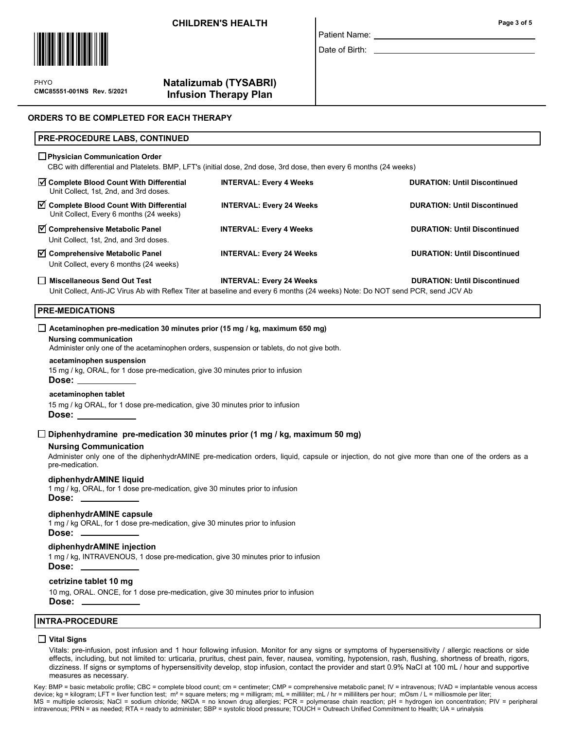### **CHILDREN'S HEALTH Page 3 of 5**



 $\mathbf{P}$ CMC85551-001NS Rev. 5/2021 PHYO

# Natalizumab (TYSABRI) Infusion Therapy Plan

# ORDERS TO BE COMPLETED FOR EACH THERAPY

### PRE-PROCEDURE LABS, CONTINUED

### **Physician Communication Order**

CBC with differential and Platelets. BMP, LFT's (initial dose, 2nd dose, 3rd dose, then every 6 months (24 weeks)

| □ Miscellaneous Send Out Test                                                           | <b>INTERVAL: Every 24 Weeks</b> | <b>DURATION: Until Discontinued</b> |
|-----------------------------------------------------------------------------------------|---------------------------------|-------------------------------------|
| ○ Comprehensive Metabolic Panel<br>Unit Collect, every 6 months (24 weeks)              | <b>INTERVAL: Every 24 Weeks</b> | <b>DURATION: Until Discontinued</b> |
| $\triangledown$ Comprehensive Metabolic Panel<br>Unit Collect, 1st, 2nd, and 3rd doses. | <b>INTERVAL: Every 4 Weeks</b>  | <b>DURATION: Until Discontinued</b> |
| Complete Blood Count With Differential<br>Unit Collect, Every 6 months (24 weeks)       | <b>INTERVAL: Every 24 Weeks</b> | <b>DURATION: Until Discontinued</b> |
| ○ Complete Blood Count With Differential<br>Unit Collect, 1st, 2nd, and 3rd doses.      | <b>INTERVAL: Every 4 Weeks</b>  | <b>DURATION: Until Discontinued</b> |

Patient Name: Date of Birth:

Unit Collect, Anti-JC Virus Ab with Reflex Titer at baseline and every 6 months (24 weeks) Note: Do NOT send PCR, send JCV Ab

### PRE-MEDICATIONS

### $\Box$  Acetaminophen pre-medication 30 minutes prior (15 mg / kg, maximum 650 mg)

### Nursing communication

Administer only one of the acetaminophen orders, suspension or tablets, do not give both.

#### acetaminophen suspension

15 mg / kg, ORAL, for 1 dose pre-medication, give 30 minutes prior to infusion

### Dose:

### acetaminophen tablet

15 mg / kg ORAL, for 1 dose pre-medication, give 30 minutes prior to infusion Dose:

### $\square$  Diphenhydramine pre-medication 30 minutes prior (1 mg / kg, maximum 50 mg)

### Nursing Communication

Administer only one of the diphenhydrAMINE pre-medication orders, liquid, capsule or injection, do not give more than one of the orders as a pre-medication.

### diphenhydrAMINE liquid

1 mg / kg, ORAL, for 1 dose pre-medication, give 30 minutes prior to infusion Dose:

# diphenhydrAMINE capsule

1 mg / kg ORAL, for 1 dose pre-medication, give 30 minutes prior to infusion Dose:

### diphenhydrAMINE injection

1 mg / kg, INTRAVENOUS, 1 dose pre-medication, give 30 minutes prior to infusion Dose:

### cetrizine tablet 10 mg

10 mg, ORAL. ONCE, for 1 dose pre-medication, give 30 minutes prior to infusion Dose:

### INTRA-PROCEDURE

### $\Box$  Vital Signs

Vitals: pre-infusion, post infusion and 1 hour following infusion. Monitor for any signs or symptoms of hypersensitivity / allergic reactions or side effects, including, but not limited to: urticaria, pruritus, chest pain, fever, nausea, vomiting, hypotension, rash, flushing, shortness of breath, rigors, dizziness. If signs or symptoms of hypersensitivity develop, stop infusion, contact the provider and start 0.9% NaCI at 100 mL / hour and supportive measures as necessary.

Key: BMP = basic metabolic profile; CBC = complete blood count; cm = centimeter; CMP = comprehensive metabolic panel; IV = intravenous; IVAD = implantable venous access device; kg = kilogram; LFT = liver function test; m<sup>2</sup> = square meters; mg = milligram; mL = milliliter; mL / hr = milliliters per hour; mOsm / L = milliosmole per liter MS = multiple sclerosis; NaCl = sodium chloride; NKDA = no known drug allergies; PCR = polymerase chain reaction; pH = hydrogen ion concentration; PIV = peripheral intravenous; PRN = as needed; RTA = ready to administer; SBP = systolic blood pressure; TOUCH = Outreach Unified Commitment to Health; UA = urinalysis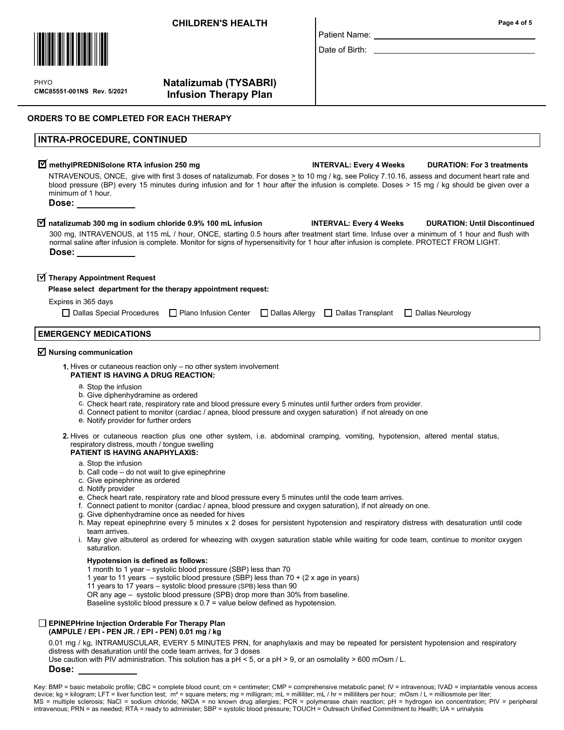

 $\mathbf{P}$ CMC85551-001NS Rev. 5/2021 PHYO

# Natalizumab (TYSABRI) Infusion Therapy Plan

# ORDERS TO BE COMPLETED FOR EACH THERAPY

# INTRA-PROCEDURE, CONTINUED

### $\widecheck{\mathbf{M}}$  methylPREDNISolone RTA infusion 250 mg  $\blacksquare$  INTERVAL: Every 4 Weeks  $\blacksquare$  DURATION: For 3 treatments NTRAVENOUS, ONCE, give with first 3 doses of natalizumab. For doses > to 10 mg / kg, see Policy 7.10.16, assess and document heart rate and blood pressure (BP) every 15 minutes during infusion and for 1 hour after the infusion is complete. Doses > 15 mg / kg should be given over a minimum of 1 hour. Dose:

### $\overline{\text{M}}$  natalizumab 300 mg in sodium chloride 0.9% 100 mL infusion INTERVAL: Every 4 Weeks DURATION: Until Discontinued 300 mg, INTRAVENOUS, at 115 mL / hour, ONCE, starting 0.5 hours after treatment start time. Infuse over a minimum of 1 hour and flush with normal saline after infusion is complete. Monitor for signs of hypersensitivity for 1 hour after infusion is complete. PROTECT FROM LIGHT. Dose:

# $\overline{\textbf{y}}$  Therapy Appointment Request

### Please select department for the therapy appointment request:

# Expires in 365 days

| $□$ Dallas Special Procedures $□$ Plano Infusion Center $□$ Dallas Allergy $□$ Dallas Transplant $□$ Dallas Neurology |  |  |
|-----------------------------------------------------------------------------------------------------------------------|--|--|
|-----------------------------------------------------------------------------------------------------------------------|--|--|

# EMERGENCY MEDICATIONS

# $\boxtimes$  Nursing communication

- 1. Hives or cutaneous reaction only no other system involvement PATIENT IS HAVING A DRUG REACTION:
	- a. Stop the infusion
	- b. Give diphenhydramine as ordered
	- c. Check heart rate, respiratory rate and blood pressure every 5 minutes until further orders from provider.
	- d. Connect patient to monitor (cardiac / apnea, blood pressure and oxygen saturation) if not already on one
	- e. Notify provider for further orders
- 2. Hives or cutaneous reaction plus one other system, i.e. abdominal cramping, vomiting, hypotension, altered mental status, respiratory distress, mouth / tongue swelling

### PATIENT IS HAVING ANAPHYLAXIS:

- a. Stop the infusion
- b. Call code do not wait to give epinephrine
- c. Give epinephrine as ordered
- d. Notify provider
- e. Check heart rate, respiratory rate and blood pressure every 5 minutes until the code team arrives.
- f. Connect patient to monitor (cardiac / apnea, blood pressure and oxygen saturation), if not already on one.
- Give diphenhydramine once as needed for hives g.
- h. May repeat epinephrine every 5 minutes x 2 doses for persistent hypotension and respiratory distress with desaturation until code team arrives.
- May give albuterol as ordered for wheezing with oxygen saturation stable while waiting for code team, continue to monitor oxygen i. saturation.

### Hypotension is defined as follows:

- 1 month to 1 year systolic blood pressure (SBP) less than 70
- 1 year to 11 years systolic blood pressure (SBP) less than 70 + (2 x age in years)
- 11 years to 17 years systolic blood pressure (SPB) less than 90
- OR any age systolic blood pressure (SPB) drop more than 30% from baseline.

Baseline systolic blood pressure x 0.7 = value below defined as hypotension.

# EPINEPHrine Injection Orderable For Therapy Plan

(AMPULE / EPI - PEN JR. / EPI - PEN) 0.01 mg / kg

0.01 mg / kg, INTRAMUSCULAR, EVERY 5 MINUTES PRN, for anaphylaxis and may be repeated for persistent hypotension and respiratory distress with desaturation until the code team arrives, for 3 doses

Use caution with PIV administration. This solution has a pH < 5, or a pH > 9, or an osmolality > 600 mOsm / L.

Dose:

Patient Name:

Date of Birth:

Key: BMP = basic metabolic profile; CBC = complete blood count; cm = centimeter; CMP = comprehensive metabolic panel; IV = intravenous; IVAD = implantable venous access device; kg = kilogram; LFT = liver function test; m<sup>2</sup> = square meters; mg = milligram; mL = milliliter; mL / hr = milliliters per hour; mOsm / L = milliosmole per liter MS = multiple sclerosis; NaCl = sodium chloride; NKDA = no known drug allergies; PCR = polymerase chain reaction; pH = hydrogen ion concentration; PIV = peripheral intravenous; PRN = as needed; RTA = ready to administer; SBP = systolic blood pressure; TOUCH = Outreach Unified Commitment to Health; UA = urinalysis